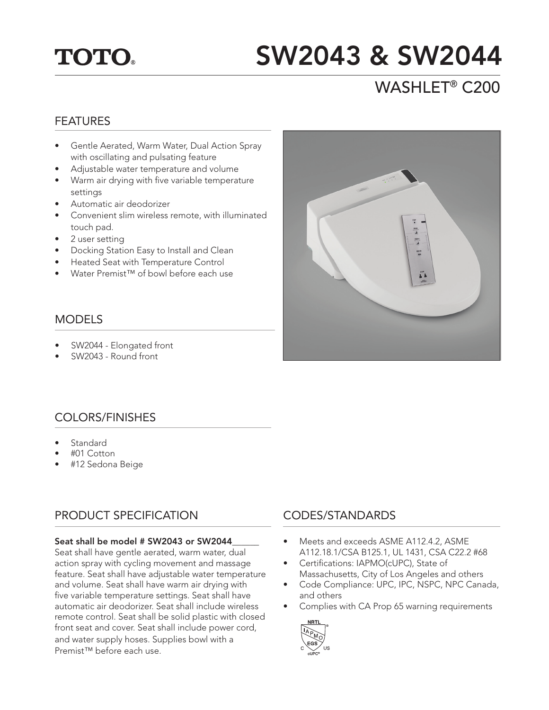# **TOTO.**

# SW2043 & SW2044

# WASHLET® C200

#### FEATURES

- Gentle Aerated, Warm Water, Dual Action Spray with oscillating and pulsating feature
- Adjustable water temperature and volume
- Warm air drying with five variable temperature settings
- Automatic air deodorizer
- Convenient slim wireless remote, with illuminated touch pad.
- 2 user setting
- Docking Station Easy to Install and Clean
- Heated Seat with Temperature Control
- Water Premist™ of bowl before each use

### MODELS

- SW2044 Elongated front
- SW2043 Round front

## COLORS/FINISHES

- **Standard**
- #01 Cotton
- #12 Sedona Beige

## PRODUCT SPECIFICATION

#### Seat shall be model # SW2043 or SW2044

Seat shall have gentle aerated, warm water, dual action spray with cycling movement and massage feature. Seat shall have adjustable water temperature and volume. Seat shall have warm air drying with five variable temperature settings. Seat shall have automatic air deodorizer. Seat shall include wireless remote control. Seat shall be solid plastic with closed front seat and cover. Seat shall include power cord, and water supply hoses. Supplies bowl with a Premist™ before each use.



### CODES/STANDARDS

- Meets and exceeds ASME A112.4.2, ASME A112.18.1/CSA B125.1, UL 1431, CSA C22.2 #68
- Certifications: IAPMO(cUPC), State of Massachusetts, City of Los Angeles and others
- Code Compliance: UPC, IPC, NSPC, NPC Canada, and others
- Complies with CA Prop 65 warning requirements